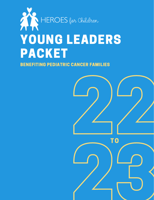

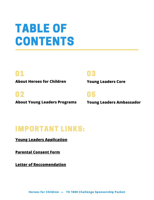## TABLE OF CONTENTS

### 01 03

**About Heroes for Children Young Leaders Core**

### 02 05

**About Young Leaders Programs Young Leaders Ambassador**

### IMPORTANT LINKS:

**[Young Leaders Application](https://www.heroesforchildren.org/dallasapplication)**

**[Parental Consent Form](https://www.heroesforchildren.org/_files/ugd/7d0dc9_cfe8f45fcb0c400b84d22fadd3be36e8.pdf)**

**[Letter of Reccomendation](https://www.heroesforchildren.org/_files/ugd/7d0dc9_c10c0867f0b74ef497ecc9b29f2ae34a.pdf)**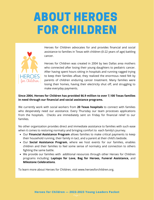## ABOUT HEROES FOR CHILDREN



Heroes for Children advocates for and provides financial and social assistance to families in Texas with children (0-22 years of age) battling cancer.

Heroes for Children was created in 2004 by two Dallas area mothers who connected after losing their young daughters to pediatric cancer. After having spent hours sitting in hospitals and running ragged trying to keep their families afloat, they realized the enormous need felt by parents of children enduring cancer treatment. Many families were losing their homes, having their electricity shut off, and struggling to make everyday payments.

#### **Since 2004, Heroes for Children has provided \$6.9 million to over 7,100 Texas families in need through our financial and social assistance programs.**

We currently work with social workers from **20 Texas hospitals** to connect with families who desperately need our assistance. Every Thursday our team processes applications from the hospitals. Checks are immediately sent on Friday for financial relief to our families.

No other organization provides direct and immediate assistance to families with such ease when it comes to restoring normalcy and bringing comfort to each family's journey.

- Our **Financial Assistance Program** allows families to make critical payments to keep their household running, their family in tact, and a parent at their child's bedside.
- Our **Social Assistance Program**, where we host events for our families, enables children and their families to feel some sense of normalcy and connection to others fighting the same battle.
- We provide our families with additional resources through other Heroes for Children programs including: **Laptops for Love, Bag for Heroes, Funeral Assistance,** and **Milestone Celebrations**.

To learn more about Heroes for Children, visit [www.heroesforchildren.org](http://www.heroesforchildren.org/).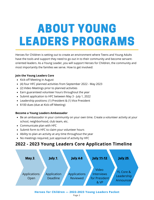## ABOUT YOUNG LEADERS PROGRAMS

Heroes for Children is setting out to create an environment where Teens and Young Adults have the tools and support they need to go out in to their community and become servantoriented leaders. As a Young Leader, you will support Heroes for Children, the community and most importantly the families we serve. How to get involved:

#### **Join the Young Leaders Core**

- Kick-off Meeting in August
- (4) four HFC planned activities from September 2022 May 2023
- (2) Video Meetings prior to planned activities
- Earn guaranteed volunteer hours throughout the year
- Submit application to HFC between May 3 July 1, 2022
- Leadership positions: (1) President & (1) Vice President
- \$100 dues (due at Kick-off Meeting)

#### **Become a Young Leaders Ambassador**

- Be an ambassador in your community on your own time. Create a volunteer activity at your school, neighborhood, club team, etc.
- Communicate plan with HFC
- Submit form to HFC to claim your volunteer hours
- Ability to plan an activity at any time throughout the year
- No meetings required, just approval of activity by HFC

### **2022 - 2023 Young Leaders Core Application Timeline**



**Heroes for Children — 2022-2023 Young Leaders Packet**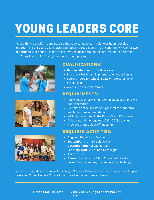# YOUNG LEADERS CORE

We are thrilled to offer Young Leaders the opportunity to earn volunteer hours, develop important life skills, and get involved with other Young Leaders in our community. We offer two opportunities for Young Leaders to get involved. Read through the information to determine if the Young Leaders Core is right for you before applying.







#### **QUALIFICATIONS:**

- Between the ages of 14 18 years old
- Must be a Freshman, Sophomore, Junior, or Senior
- Seeking hours for school, a passion, stewardship, or scholarship
- Access to a computer/email

#### **REQUIREMENTS:**

- Apply between May 3 July 29th (Late applications will not be accepted)
- Complete online application, parental consent form, and letter of recommendation
- Willing/able to meet in the Dallas/North Dallas area
- Able to attend the required 2022 2023 activities
- \$100 dues (due at kick-off meeting)

#### **REQUIRED ACTIVITIES:**

- **August 11th:** Kick-off Meeting
- **September 11th:** Go Gold Activity
- **December 4th:** Holiday Heroes
- **February 16th:** Valentine's Date Night
- **April 8th:** 5K
- **Bonus:** Complete the "Hero Challenge" or get a person/team/company to complete the challenge

**Note:** Required dates are subject to change. No more than 2 required activities can be skipped by elected Young Leaders Core. Will be moved into an Ambassador role.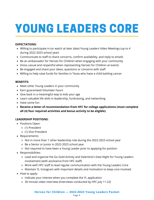# YOUNG LEADERS CORE

#### **EXPECTATIONS:**

- Willing to participate in (or watch at later date) Young Leaders Video Meetings (up to 4 during 2022-2023 school year)
- Communicate to staff to share concerns, confirm availability, and reply to emails
- Be an ambassador for Heroes for Children when engaging with your community
- Dress casual and respectful when representing Heroes for Children at events
- Be engaged and share your ideas, questions or concerns with staff
- Willing to help raise funds for families in Texas who have a child battling cancer

#### **BENEFITS:**

- Meet other Young Leaders in your community
- Earn guaranteed Volunteer hours
- Give back in a meaningful way to kids your age
- Learn valuable life skills in leadership, fundraising, and networking
- Have some fun
- **Receive a letter of recommendation from HFC for college applications (must complete all (4) four required activities and bonus activity to be eligible)**

#### **LEADERSHIP POSITIONS:**

- Positions Open:
	- (1) President
	- (1) Vice President
- Requirements:
	- Not in more than 1 other leadership role during the 2022-2023 school year
	- Be a Senior or Junior in 2022-2023 school year
	- Not required to have been a Young Leader prior to applying for position
- Responsibilities:
	- Lead and organize the Go Gold Activity and Valentine's Date Night for Young Leaders involvement (with assistance from HFC staff)
	- Work with HFC staff to lead regular communication with the Young Leaders Core
	- Maintain YL Instagram with important details and motivation to keep core involved
- How to apply:
	- Indicate your interest when you complete the YL application
	- 30 minute video interview (Interviews conducted by HFC July 11-22)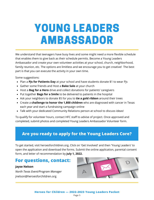### YOUNG LEADERS AMBASSADOR

We understand that teenagers have busy lives and some might need a more flexible schedule that enables them to give back as their schedule permits. Become a Young Leaders Ambassador and create your own volunteer activities at your school, church, neighborhood, family reunion, etc. The options are limitless and we encourage you to get creative! The best part is that you can execute the activity in your own time.

Some suggestions:

- Plan a **PJs for Patients Day** at your school and have students donate \$1 to wear Pjs
- Gather some friends and Host a **Bake Sale** at your church
- Host a **Bag for a Hero** drive and collect donations for patients' caregivers
- Put together **Bags for a Smile** to be delivered to patients in the hospital
- Ask your neighbors to donate \$5 for you to **tie a gold ribbon** around their trees
- Create a **challenge to honor the 1,800 children** who are diagnosed with cancer in Texas each year and start a fundraising campaign online
- Talk with your dedicated Community Relations person at school to discuss ideas!

To qualify for volunteer hours, contact HFC staff to advise of project. Once approved and completed, submit photos and completed Young Leaders Ambassador Volunteer form.

### **Are you ready to apply for the Young Leaders Core?**

To get started, visit heroesforchildren.org. Click on 'Get Involved' and then 'Young Leaders' to open the application and download the forms. Submit the online application, parental consent form, and letter of recommendation by **July 1, 2022.**

#### **For questions, contact:**

#### **Jayse Nelson**

*North Texas Event/Program Manager* jnelson@heroesforchildren.org

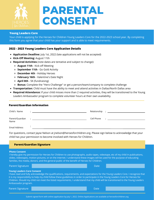

### **PARENTAL CONSENT**

#### **Young Leaders Core**

Your child is applying for the Heroes for Children Young Leaders Core for the 2022-2023 school year. By completing this form you agree that your child has your support and is able to meet requirements.

#### **2022 - 2023 Young Leaders Core Application Details**

- **Application Deadline:** July 1st, 2022 (late applications will not be accepted)
- **Kick-Off Meeting:** August 11th
- **Required Activities** (note dates are tentative and subject to change):
	- **August 11th** Kick-off Meeting
	- **September 11th** Go Gold Activity
	- **December 4th** Holiday Heroes
	- **February 16th** Valentine's Date Night
	- **April 8th** 5K (fundraising)
	- **Bonus:** Complete the "Hero Challenge" or get a person/team/company to complete challenge
- **Transportation:** Child must have the ability to meet and attend activities in Dallas/North Dallas area
- **Required Attendance:** If your child misses more than 2 required activities, they will be transitioned to the Young Leaders Ambassador program to complete volunteer hours at their own availability.

#### **Parent/Guardian Information**

| Child's Name    | $\bullet$ |            |   |
|-----------------|-----------|------------|---|
|                 |           |            |   |
| Parent/Guardian | $\bullet$ | Cell Phone | ٠ |
| Name            |           |            |   |
| Email Address   |           |            |   |
|                 |           |            |   |

For questions, contact Jayse Nelson at jnelson@heroesforchildren.org. Please sign below to acknowledge that your child has your permission to become involved with Heroes for Children.

|                                                                                                                                                                                                                                                                                                                                                                                                                                                                        | <b>Parent/Guardian Signature</b>                                                                                                                                                                                                                                                                                                                               |             |  |
|------------------------------------------------------------------------------------------------------------------------------------------------------------------------------------------------------------------------------------------------------------------------------------------------------------------------------------------------------------------------------------------------------------------------------------------------------------------------|----------------------------------------------------------------------------------------------------------------------------------------------------------------------------------------------------------------------------------------------------------------------------------------------------------------------------------------------------------------|-------------|--|
|                                                                                                                                                                                                                                                                                                                                                                                                                                                                        |                                                                                                                                                                                                                                                                                                                                                                |             |  |
| <b>Photo Consent</b>                                                                                                                                                                                                                                                                                                                                                                                                                                                   | I hereby give my permission for Heroes for Children to use photographs, audio tapes, videotape, etc of my child in publications,<br>slides, videotapes, motion pictures, or on the internet. I understand these images will be used for the purpose of educating<br>families, the media, donors, and the general public of the benefit of Heroes for Children. |             |  |
| <b>Parent Signature</b>                                                                                                                                                                                                                                                                                                                                                                                                                                                |                                                                                                                                                                                                                                                                                                                                                                | <b>Date</b> |  |
| <b>Young Leaders Core Consent</b><br>I have read and fully acknowledge the qualifications, requirements, and expectations for the Young Leaders Core. I recognize that<br>it is my responsibility to help my child follow these guidelines in order to participate in the Young Leaders Core for Heroes for<br>Children. Should my child not meet the listed requirements, I understand that my child will be transitioned to the Young Leaders<br>Ambassador program. |                                                                                                                                                                                                                                                                                                                                                                |             |  |
| <b>Parent Signature</b>                                                                                                                                                                                                                                                                                                                                                                                                                                                |                                                                                                                                                                                                                                                                                                                                                                | <b>Date</b> |  |
|                                                                                                                                                                                                                                                                                                                                                                                                                                                                        | Cubmit cignod form with opling application by July 1, 2022, Opling Applications are available at becoefersbildson erg                                                                                                                                                                                                                                          |             |  |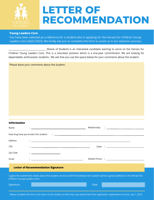

### **LETTER OF RECOMMENDATION**

#### **Young Leaders Core**

You have been selected as a reference for a student who is applying for the Heroes for Children Young Leaders Core (2022-2023). We kindly ask you to complete the form to assist us in our selection process.

(Name of Student) is an interested candidate wanting to serve on the Heroes for Children Young Leaders Core. This is a volunteer position which is a one-year commitment. We are looking for dependable, enthusiastic students. We ask that you use the space below for your comments about the student.

Please leave your comments about the student:

#### **Information**

| Name                                                                                                                                                             | <u> 1989 - Andrea Stadt Britain, amerikansk politiker (</u>                                                                                                                                                                                                                                                                                 | Relationship<br>$\mathbf{1}$ , and the set of the set of the set of the set of the set of the set of the set of the set of the set of the set of the set of the set of the set of the set of the set of the set of the set of the set of the set |  |
|------------------------------------------------------------------------------------------------------------------------------------------------------------------|---------------------------------------------------------------------------------------------------------------------------------------------------------------------------------------------------------------------------------------------------------------------------------------------------------------------------------------------|--------------------------------------------------------------------------------------------------------------------------------------------------------------------------------------------------------------------------------------------------|--|
|                                                                                                                                                                  | How long have you known this student:                                                                                                                                                                                                                                                                                                       | <u> 1988 - Andrea State Barbara, amerikan personal personal personal personal personal personal personal personal </u>                                                                                                                           |  |
| Address                                                                                                                                                          | <u>: https://www.community.community.com/internal/water/water/water/water/water/water/water/water/water/water/water/</u>                                                                                                                                                                                                                    |                                                                                                                                                                                                                                                  |  |
| City                                                                                                                                                             | <u> Alexandria de la contrada de la contrada de la contrada de la contrada de la contrada de la contrada de la c</u>                                                                                                                                                                                                                        |                                                                                                                                                                                                                                                  |  |
| Zip Code                                                                                                                                                         | $\mathcal{L}=\underbrace{\begin{bmatrix} 1 & 0 & 0 \\ 0 & 1 & 0 \\ 0 & 0 & 0 \\ 0 & 0 & 0 \\ 0 & 0 & 0 \\ 0 & 0 & 0 \\ 0 & 0 & 0 \\ 0 & 0 & 0 \\ 0 & 0 & 0 & 0 \\ 0 & 0 & 0 & 0 \\ 0 & 0 & 0 & 0 \\ 0 & 0 & 0 & 0 \\ 0 & 0 & 0 & 0 & 0 \\ 0 & 0 & 0 & 0 & 0 \\ 0 & 0 & 0 & 0 & 0 \\ 0 & 0 & 0 & 0 & 0 & 0 \\ 0 & 0 & 0 & 0 & 0 & 0 \\ 0 & $ |                                                                                                                                                                                                                                                  |  |
| Email                                                                                                                                                            | <u> 1989 - Johann Barbara, martin amerikan basar dan berasal dan berasal dalam basar dalam basar dalam basar dala</u>                                                                                                                                                                                                                       |                                                                                                                                                                                                                                                  |  |
| <b>Letter of Recommendation Signature</b>                                                                                                                        |                                                                                                                                                                                                                                                                                                                                             |                                                                                                                                                                                                                                                  |  |
| I agree the statements made about the student are true and firmly believe the student will be a great addition to the Heroes for<br>Children Young Leaders Core. |                                                                                                                                                                                                                                                                                                                                             |                                                                                                                                                                                                                                                  |  |
| Signature                                                                                                                                                        |                                                                                                                                                                                                                                                                                                                                             | Date                                                                                                                                                                                                                                             |  |

Please complete this form and return to the student so that they may submit with their application. Applications are due July 1, 2022.